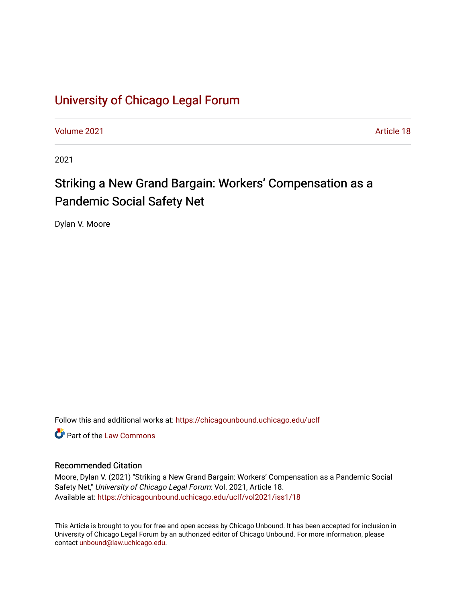# [University of Chicago Legal Forum](https://chicagounbound.uchicago.edu/uclf)

[Volume 2021](https://chicagounbound.uchicago.edu/uclf/vol2021) [Article 18](https://chicagounbound.uchicago.edu/uclf/vol2021/iss1/18) 

2021

# Striking a New Grand Bargain: Workers' Compensation as a Pandemic Social Safety Net

Dylan V. Moore

Follow this and additional works at: [https://chicagounbound.uchicago.edu/uclf](https://chicagounbound.uchicago.edu/uclf?utm_source=chicagounbound.uchicago.edu%2Fuclf%2Fvol2021%2Fiss1%2F18&utm_medium=PDF&utm_campaign=PDFCoverPages) 

**C** Part of the [Law Commons](https://network.bepress.com/hgg/discipline/578?utm_source=chicagounbound.uchicago.edu%2Fuclf%2Fvol2021%2Fiss1%2F18&utm_medium=PDF&utm_campaign=PDFCoverPages)

# Recommended Citation

Moore, Dylan V. (2021) "Striking a New Grand Bargain: Workers' Compensation as a Pandemic Social Safety Net," University of Chicago Legal Forum: Vol. 2021, Article 18. Available at: [https://chicagounbound.uchicago.edu/uclf/vol2021/iss1/18](https://chicagounbound.uchicago.edu/uclf/vol2021/iss1/18?utm_source=chicagounbound.uchicago.edu%2Fuclf%2Fvol2021%2Fiss1%2F18&utm_medium=PDF&utm_campaign=PDFCoverPages)

This Article is brought to you for free and open access by Chicago Unbound. It has been accepted for inclusion in University of Chicago Legal Forum by an authorized editor of Chicago Unbound. For more information, please contact [unbound@law.uchicago.edu](mailto:unbound@law.uchicago.edu).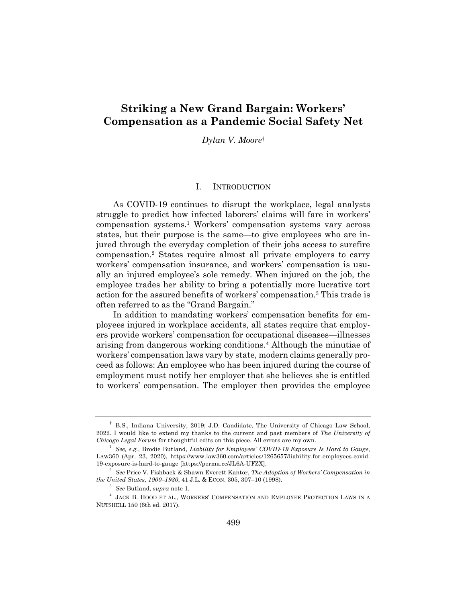# **Striking a New Grand Bargain: Workers' Compensation as a Pandemic Social Safety Net**

*Dylan V. Moore*†

#### I. INTRODUCTION

As COVID-19 continues to disrupt the workplace, legal analysts struggle to predict how infected laborers' claims will fare in workers' compensation systems.1 Workers' compensation systems vary across states, but their purpose is the same—to give employees who are injured through the everyday completion of their jobs access to surefire compensation.2 States require almost all private employers to carry workers' compensation insurance, and workers' compensation is usually an injured employee's sole remedy. When injured on the job, the employee trades her ability to bring a potentially more lucrative tort action for the assured benefits of workers' compensation.3 This trade is often referred to as the "Grand Bargain."

In addition to mandating workers' compensation benefits for employees injured in workplace accidents, all states require that employers provide workers' compensation for occupational diseases—illnesses arising from dangerous working conditions.4 Although the minutiae of workers' compensation laws vary by state, modern claims generally proceed as follows: An employee who has been injured during the course of employment must notify her employer that she believes she is entitled to workers' compensation. The employer then provides the employee

<sup>†</sup> B.S., Indiana University, 2019; J.D. Candidate, The University of Chicago Law School, 2022. I would like to extend my thanks to the current and past members of *The University of Chicago Legal Forum* for thoughtful edits on this piece. All errors are my own.

<sup>1</sup> *See, e.g.*, Brodie Butland, *Liability for Employees' COVID-19 Exposure Is Hard to Gauge*, LAW360 (Apr. 23, 2020), https://www.law360.com/articles/1265657/liability-for-employees-covid-19-exposure-is-hard-to-gauge [https://perma.cc/JL6A-UFZX].

<sup>2</sup> *See* Price V. Fishback & Shawn Everett Kantor, *The Adoption of Workers' Compensation in the United States, 1900–1930*, 41 J.L. & ECON. 305, 307–10 (1998).

<sup>3</sup> *See* Butland, *supra* note 1.

 $^4\,$  JACK B. HOOD ET AL., WORKERS' COMPENSATION AND EMPLOYEE PROTECTION LAWS IN A NUTSHELL 150 (6th ed. 2017).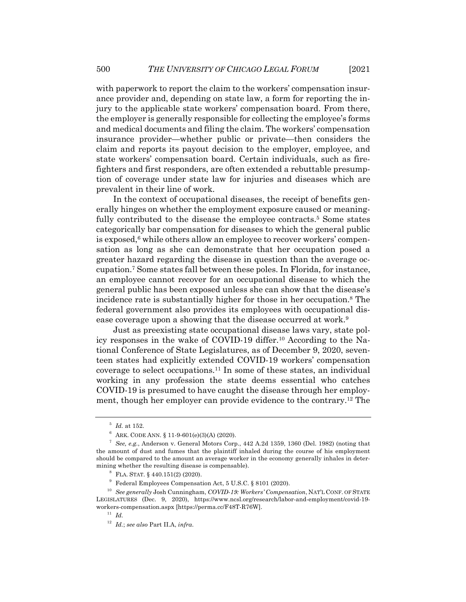with paperwork to report the claim to the workers' compensation insurance provider and, depending on state law, a form for reporting the injury to the applicable state workers' compensation board. From there, the employer is generally responsible for collecting the employee's forms and medical documents and filing the claim. The workers' compensation insurance provider—whether public or private—then considers the claim and reports its payout decision to the employer, employee, and state workers' compensation board. Certain individuals, such as firefighters and first responders, are often extended a rebuttable presumption of coverage under state law for injuries and diseases which are prevalent in their line of work.

In the context of occupational diseases, the receipt of benefits generally hinges on whether the employment exposure caused or meaningfully contributed to the disease the employee contracts.<sup>5</sup> Some states categorically bar compensation for diseases to which the general public is exposed,<sup>6</sup> while others allow an employee to recover workers' compensation as long as she can demonstrate that her occupation posed a greater hazard regarding the disease in question than the average occupation.7 Some states fall between these poles. In Florida, for instance, an employee cannot recover for an occupational disease to which the general public has been exposed unless she can show that the disease's incidence rate is substantially higher for those in her occupation.8 The federal government also provides its employees with occupational disease coverage upon a showing that the disease occurred at work.<sup>9</sup>

Just as preexisting state occupational disease laws vary, state policy responses in the wake of COVID-19 differ.10 According to the National Conference of State Legislatures, as of December 9, 2020, seventeen states had explicitly extended COVID-19 workers' compensation coverage to select occupations.11 In some of these states, an individual working in any profession the state deems essential who catches COVID-19 is presumed to have caught the disease through her employment, though her employer can provide evidence to the contrary.12 The

 $^5$   $\,$   $\!ld$  . at 152.

 $6$  ARK. CODE ANN. § 11-9-601(e)(3)(A) (2020).

<sup>7</sup> *See, e.g.*, Anderson v. General Motors Corp., 442 A.2d 1359, 1360 (Del. 1982) (noting that the amount of dust and fumes that the plaintiff inhaled during the course of his employment should be compared to the amount an average worker in the economy generally inhales in determining whether the resulting disease is compensable).

 $8$  FLA. STAT. § 440.151(2) (2020).

<sup>9</sup> Federal Employees Compensation Act, 5 U.S.C. § 8101 (2020).

<sup>10</sup> *See generally* Josh Cunningham, *COVID-19: Workers' Compensation*, NAT'L CONF. OF STATE LEGISLATURES (Dec. 9, 2020), https://www.ncsl.org/research/labor-and-employment/covid-19 workers-compensation.aspx [https://perma.cc/F48T-R76W].

<sup>11</sup> *Id.*

<sup>12</sup> *Id.*; *see also* Part II.A, *infra*.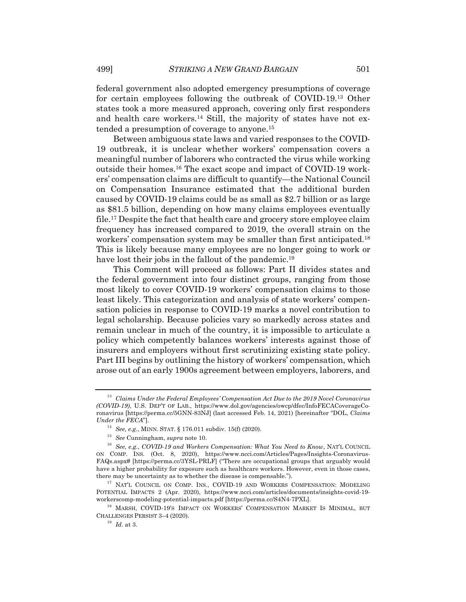federal government also adopted emergency presumptions of coverage for certain employees following the outbreak of COVID-19.13 Other states took a more measured approach, covering only first responders and health care workers.14 Still, the majority of states have not extended a presumption of coverage to anyone.15

Between ambiguous state laws and varied responses to the COVID-19 outbreak, it is unclear whether workers' compensation covers a meaningful number of laborers who contracted the virus while working outside their homes.16 The exact scope and impact of COVID-19 workers' compensation claims are difficult to quantify—the National Council on Compensation Insurance estimated that the additional burden caused by COVID-19 claims could be as small as \$2.7 billion or as large as \$81.5 billion, depending on how many claims employees eventually file.17 Despite the fact that health care and grocery store employee claim frequency has increased compared to 2019, the overall strain on the workers' compensation system may be smaller than first anticipated.18 This is likely because many employees are no longer going to work or have lost their jobs in the fallout of the pandemic.<sup>19</sup>

This Comment will proceed as follows: Part II divides states and the federal government into four distinct groups, ranging from those most likely to cover COVID-19 workers' compensation claims to those least likely. This categorization and analysis of state workers' compensation policies in response to COVID-19 marks a novel contribution to legal scholarship. Because policies vary so markedly across states and remain unclear in much of the country, it is impossible to articulate a policy which competently balances workers' interests against those of insurers and employers without first scrutinizing existing state policy. Part III begins by outlining the history of workers' compensation, which arose out of an early 1900s agreement between employers, laborers, and

<sup>13</sup> *Claims Under the Federal Employees' Compensation Act Due to the 2019 Novel Coronavirus (COVID-19)*, U.S. DEP'T OF LAB., https://www.dol.gov/agencies/owcp/dfec/InfoFECACoverageCoronavirus [https://perma.cc/5GNN-83NJ] (last accessed Feb. 14, 2021) [hereinafter "DOL, *Claims Under the FECA*"].

<sup>14</sup> *See, e.g.*, MINN. STAT. § 176.011 subdiv. 15(f) (2020).

<sup>15</sup> *See* Cunningham, *supra* note 10.

<sup>16</sup> *See, e.g.*, *COVID-19 and Workers Compensation: What You Need to Know*, NAT'L COUNCIL ON COMP. INS. (Oct. 8, 2020), https://www.ncci.com/Articles/Pages/Insights-Coronavirus-FAQs.aspx# [https://perma.cc/3YSL-PRLF] ("There are occupational groups that arguably would have a higher probability for exposure such as healthcare workers. However, even in those cases, there may be uncertainty as to whether the disease is compensable.").

<sup>&</sup>lt;sup>17</sup> NAT'L COUNCIL ON COMP. INS., COVID-19 AND WORKERS COMPENSATION: MODELING POTENTIAL IMPACTS 2 (Apr. 2020), https://www.ncci.com/articles/documents/insights-covid-19 workerscomp-modeling-potential-impacts.pdf [https://perma.cc/S4N4-7PXL].

<sup>&</sup>lt;sup>18</sup> MARSH, COVID-19'S IMPACT ON WORKERS' COMPENSATION MARKET IS MINIMAL, BUT CHALLENGES PERSIST 3–4 (2020).

<sup>19</sup> *Id.* at 3.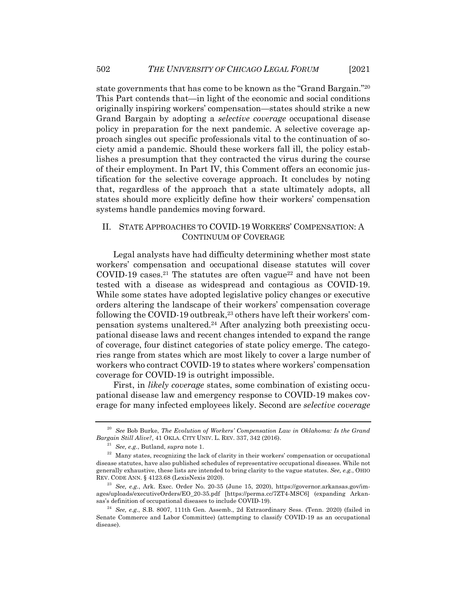state governments that has come to be known as the "Grand Bargain."20 This Part contends that—in light of the economic and social conditions originally inspiring workers' compensation—states should strike a new Grand Bargain by adopting a *selective coverage* occupational disease policy in preparation for the next pandemic. A selective coverage approach singles out specific professionals vital to the continuation of society amid a pandemic. Should these workers fall ill, the policy establishes a presumption that they contracted the virus during the course of their employment. In Part IV, this Comment offers an economic justification for the selective coverage approach. It concludes by noting that, regardless of the approach that a state ultimately adopts, all states should more explicitly define how their workers' compensation systems handle pandemics moving forward.

# II. STATE APPROACHES TO COVID-19 WORKERS' COMPENSATION: A CONTINUUM OF COVERAGE

Legal analysts have had difficulty determining whether most state workers' compensation and occupational disease statutes will cover COVID-19 cases.<sup>21</sup> The statutes are often vague<sup>22</sup> and have not been tested with a disease as widespread and contagious as COVID-19. While some states have adopted legislative policy changes or executive orders altering the landscape of their workers' compensation coverage following the COVID-19 outbreak,<sup>23</sup> others have left their workers' compensation systems unaltered.24 After analyzing both preexisting occupational disease laws and recent changes intended to expand the range of coverage, four distinct categories of state policy emerge. The categories range from states which are most likely to cover a large number of workers who contract COVID-19 to states where workers' compensation coverage for COVID-19 is outright impossible.

First, in *likely coverage* states, some combination of existing occupational disease law and emergency response to COVID-19 makes coverage for many infected employees likely. Second are *selective coverage*

<sup>20</sup> *See* Bob Burke, *The Evolution of Workers' Compensation Law in Oklahoma: Is the Grand Bargain Still Alive?*, 41 OKLA. CITY UNIV. L. REV. 337, 342 (2016).

<sup>21</sup> *See, e.g.*, Butland, *supra* note 1.

 $22$  Many states, recognizing the lack of clarity in their workers' compensation or occupational disease statutes, have also published schedules of representative occupational diseases. While not generally exhaustive, these lists are intended to bring clarity to the vague statutes. *See, e.g.*, OHIO REV. CODE ANN. § 4123.68 (LexisNexis 2020).

<sup>23</sup> *See, e.g.*, Ark. Exec. Order No. 20-35 (June 15, 2020), https://governor.arkansas.gov/images/uploads/executiveOrders/EO\_20-35.pdf [https://perma.cc/7ZT4-MSC6] (expanding Arkansas's definition of occupational diseases to include COVID-19).

<sup>24</sup> *See, e.g.*, S.B. 8007, 111th Gen. Assemb., 2d Extraordinary Sess. (Tenn. 2020) (failed in Senate Commerce and Labor Committee) (attempting to classify COVID-19 as an occupational disease).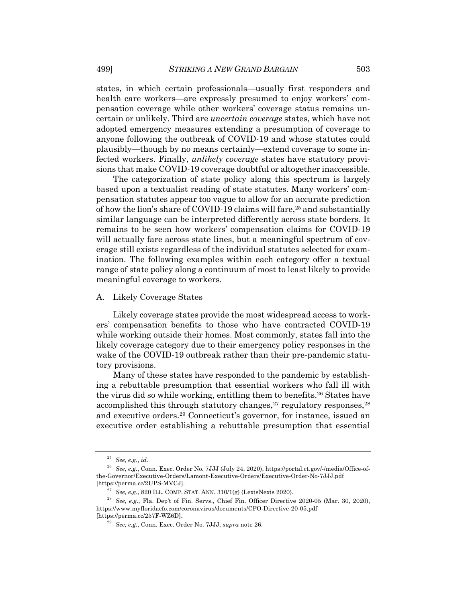states, in which certain professionals—usually first responders and health care workers—are expressly presumed to enjoy workers' compensation coverage while other workers' coverage status remains uncertain or unlikely. Third are *uncertain coverage* states, which have not adopted emergency measures extending a presumption of coverage to anyone following the outbreak of COVID-19 and whose statutes could plausibly—though by no means certainly—extend coverage to some infected workers. Finally, *unlikely coverage* states have statutory provisions that make COVID-19 coverage doubtful or altogether inaccessible.

The categorization of state policy along this spectrum is largely based upon a textualist reading of state statutes. Many workers' compensation statutes appear too vague to allow for an accurate prediction of how the lion's share of COVID-19 claims will fare,<sup>25</sup> and substantially similar language can be interpreted differently across state borders. It remains to be seen how workers' compensation claims for COVID-19 will actually fare across state lines, but a meaningful spectrum of coverage still exists regardless of the individual statutes selected for examination. The following examples within each category offer a textual range of state policy along a continuum of most to least likely to provide meaningful coverage to workers.

#### A. Likely Coverage States

Likely coverage states provide the most widespread access to workers' compensation benefits to those who have contracted COVID-19 while working outside their homes. Most commonly, states fall into the likely coverage category due to their emergency policy responses in the wake of the COVID-19 outbreak rather than their pre-pandemic statutory provisions.

Many of these states have responded to the pandemic by establishing a rebuttable presumption that essential workers who fall ill with the virus did so while working, entitling them to benefits.26 States have accomplished this through statutory changes,  $27$  regulatory responses,  $28$ and executive orders.29 Connecticut's governor, for instance, issued an executive order establishing a rebuttable presumption that essential

<sup>25</sup> *See, e.g.*, *id.*

<sup>26</sup> *See, e.g.*, Conn. Exec. Order No. 7JJJ (July 24, 2020), https://portal.ct.gov/-/media/Office-ofthe-Governor/Executive-Orders/Lamont-Executive-Orders/Executive-Order-No-7JJJ.pdf [https://perma.cc/2UPS-MVCJ].

<sup>27</sup> *See, e.g.*, 820 ILL. COMP. STAT. ANN. 310/1(g) (LexisNexis 2020).

<sup>28</sup> *See, e.g.*, Fla. Dep't of Fin. Servs., Chief Fin. Officer Directive 2020-05 (Mar. 30, 2020), https://www.myfloridacfo.com/coronavirus/documents/CFO-Directive-20-05.pdf [https://perma.cc/257F-WZ6D].

<sup>29</sup> *See, e.g.*, Conn. Exec. Order No. 7JJJ, *supra* note 26.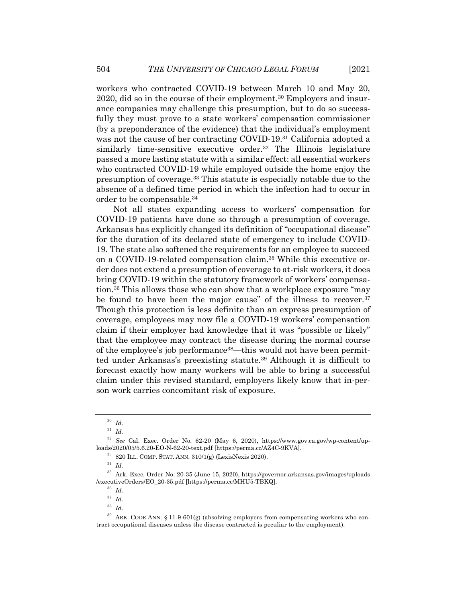workers who contracted COVID-19 between March 10 and May 20, 2020, did so in the course of their employment.30 Employers and insurance companies may challenge this presumption, but to do so successfully they must prove to a state workers' compensation commissioner (by a preponderance of the evidence) that the individual's employment was not the cause of her contracting COVID-19.31 California adopted a similarly time-sensitive executive order.32 The Illinois legislature passed a more lasting statute with a similar effect: all essential workers who contracted COVID-19 while employed outside the home enjoy the presumption of coverage.33 This statute is especially notable due to the absence of a defined time period in which the infection had to occur in order to be compensable.34

Not all states expanding access to workers' compensation for COVID-19 patients have done so through a presumption of coverage. Arkansas has explicitly changed its definition of "occupational disease" for the duration of its declared state of emergency to include COVID-19. The state also softened the requirements for an employee to succeed on a COVID-19-related compensation claim.35 While this executive order does not extend a presumption of coverage to at-risk workers, it does bring COVID-19 within the statutory framework of workers' compensation.36 This allows those who can show that a workplace exposure "may be found to have been the major cause" of the illness to recover.<sup>37</sup> Though this protection is less definite than an express presumption of coverage, employees may now file a COVID-19 workers' compensation claim if their employer had knowledge that it was "possible or likely" that the employee may contract the disease during the normal course of the employee's job performance38—this would not have been permitted under Arkansas's preexisting statute.39 Although it is difficult to forecast exactly how many workers will be able to bring a successful claim under this revised standard, employers likely know that in-person work carries concomitant risk of exposure.

<sup>30</sup> *Id.*

<sup>31</sup> *Id.*

<sup>32</sup> *See* Cal. Exec. Order No. 62-20 (May 6, 2020), https://www.gov.ca.gov/wp-content/uploads/2020/05/5.6.20-EO-N-62-20-text.pdf [https://perma.cc/AZ4C-9KVA].

<sup>33</sup> 820 ILL. COMP. STAT. ANN. 310/1(g) (LexisNexis 2020).

<sup>34</sup> *Id.*

<sup>35</sup> Ark. Exec. Order No. 20-35 (June 15, 2020), https://governor.arkansas.gov/images/uploads /executiveOrders/EO\_20-35.pdf [https://perma.cc/MHU5-TBKQ].

<sup>36</sup> *Id.*

<sup>37</sup> *Id.*

<sup>38</sup> *Id.*

 $39$  ARK. CODE ANN. § 11-9-601(g) (absolving employers from compensating workers who contract occupational diseases unless the disease contracted is peculiar to the employment).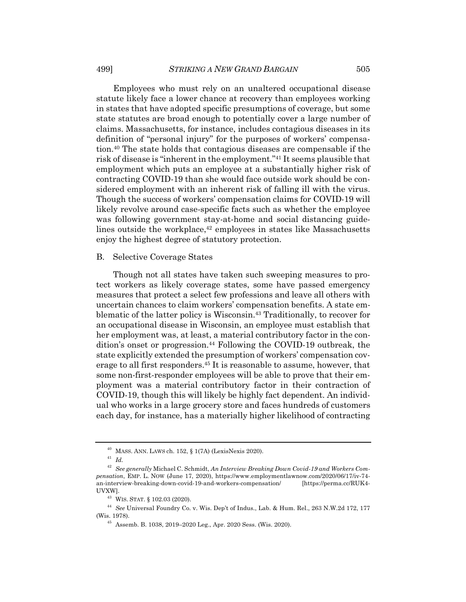### 499] *STRIKING A NEW GRAND BARGAIN* 505

Employees who must rely on an unaltered occupational disease statute likely face a lower chance at recovery than employees working in states that have adopted specific presumptions of coverage, but some state statutes are broad enough to potentially cover a large number of claims. Massachusetts, for instance, includes contagious diseases in its definition of "personal injury" for the purposes of workers' compensation.40 The state holds that contagious diseases are compensable if the risk of disease is "inherent in the employment."41 It seems plausible that employment which puts an employee at a substantially higher risk of contracting COVID-19 than she would face outside work should be considered employment with an inherent risk of falling ill with the virus. Though the success of workers' compensation claims for COVID-19 will likely revolve around case-specific facts such as whether the employee was following government stay-at-home and social distancing guidelines outside the workplace, $42$  employees in states like Massachusetts enjoy the highest degree of statutory protection.

#### B. Selective Coverage States

Though not all states have taken such sweeping measures to protect workers as likely coverage states, some have passed emergency measures that protect a select few professions and leave all others with uncertain chances to claim workers' compensation benefits. A state emblematic of the latter policy is Wisconsin.43 Traditionally, to recover for an occupational disease in Wisconsin, an employee must establish that her employment was, at least, a material contributory factor in the condition's onset or progression.44 Following the COVID-19 outbreak, the state explicitly extended the presumption of workers' compensation coverage to all first responders.45 It is reasonable to assume, however, that some non-first-responder employees will be able to prove that their employment was a material contributory factor in their contraction of COVID-19, though this will likely be highly fact dependent. An individual who works in a large grocery store and faces hundreds of customers each day, for instance, has a materially higher likelihood of contracting

 $^{40}$  MASS. ANN. LAWS ch. 152, § 1(7A) (LexisNexis 2020).

<sup>41</sup> *Id.*

<sup>42</sup> *See generally* Michael C. Schmidt, *An Interview Breaking Down Covid-19 and Workers Compensation*, EMP. L. NOW (June 17, 2020), https://www.employmentlawnow.com/2020/06/17/iv-74 an-interview-breaking-down-covid-19-and-workers-compensation/ [https://perma.cc/RUK4- UVXW].

<sup>43</sup> WIS. STAT. § 102.03 (2020).

<sup>44</sup> *See* Universal Foundry Co. v. Wis. Dep't of Indus., Lab. & Hum. Rel., 263 N.W.2d 172, 177 (Wis. 1978).

<sup>45</sup> Assemb. B. 1038, 2019–2020 Leg., Apr. 2020 Sess. (Wis. 2020).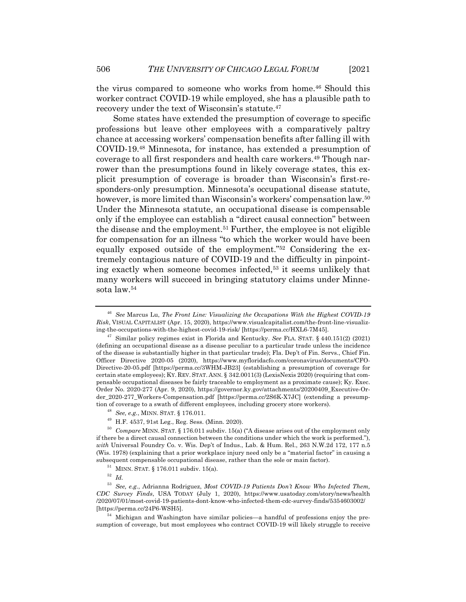the virus compared to someone who works from home.46 Should this worker contract COVID-19 while employed, she has a plausible path to recovery under the text of Wisconsin's statute.47

Some states have extended the presumption of coverage to specific professions but leave other employees with a comparatively paltry chance at accessing workers' compensation benefits after falling ill with COVID-19.48 Minnesota, for instance, has extended a presumption of coverage to all first responders and health care workers.<sup>49</sup> Though narrower than the presumptions found in likely coverage states, this explicit presumption of coverage is broader than Wisconsin's first-responders-only presumption. Minnesota's occupational disease statute, however, is more limited than Wisconsin's workers' compensation law.<sup>50</sup> Under the Minnesota statute, an occupational disease is compensable only if the employee can establish a "direct causal connection" between the disease and the employment.51 Further, the employee is not eligible for compensation for an illness "to which the worker would have been equally exposed outside of the employment."52 Considering the extremely contagious nature of COVID-19 and the difficulty in pinpointing exactly when someone becomes infected,53 it seems unlikely that many workers will succeed in bringing statutory claims under Minnesota law.54

<sup>46</sup> *See* Marcus Lu, *The Front Line: Visualizing the Occupations With the Highest COVID-19 Risk*, VISUAL CAPITALIST (Apr. 15, 2020), https://www.visualcapitalist.com/the-front-line-visualizing-the-occupations-with-the-highest-covid-19-risk/ [https://perma.cc/HXL6-7M45].

<sup>47</sup> Similar policy regimes exist in Florida and Kentucky. *See* FLA. STAT. § 440.151(2) (2021) (defining an occupational disease as a disease peculiar to a particular trade unless the incidence of the disease is substantially higher in that particular trade); Fla. Dep't of Fin. Servs., Chief Fin. Officer Directive 2020-05 (2020), https://www.myfloridacfo.com/coronavirus/documents/CFO-Directive-20-05.pdf [https://perma.cc/3WHM-JB23] (establishing a presumption of coverage for certain state employees); KY. REV. STAT. ANN. § 342.0011(3) (LexisNexis 2020) (requiring that compensable occupational diseases be fairly traceable to employment as a proximate cause); Ky. Exec. Order No. 2020-277 (Apr. 9, 2020), https://governor.ky.gov/attachments/20200409\_Executive-Order\_2020-277\_Workers-Compensation.pdf [https://perma.cc/2S6K-X7JC] (extending a presumption of coverage to a swath of different employees, including grocery store workers).

<sup>48</sup> *See, e.g.*, MINN. STAT. § 176.011.

<sup>49</sup> H.F. 4537, 91st Leg., Reg. Sess. (Minn. 2020).

<sup>50</sup> *Compare* MINN. STAT. § 176.011 subdiv. 15(a) ("A disease arises out of the employment only if there be a direct causal connection between the conditions under which the work is performed."), *with* Universal Foundry Co. v. Wis. Dep't of Indus., Lab. & Hum. Rel., 263 N.W.2d 172, 177 n.5 (Wis. 1978) (explaining that a prior workplace injury need only be a "material factor" in causing a subsequent compensable occupational disease, rather than the sole or main factor).

<sup>51</sup> MINN. STAT. § 176.011 subdiv. 15(a).

<sup>52</sup> *Id.*

<sup>53</sup> *See, e.g.*, Adrianna Rodriguez, *Most COVID-19 Patients Don't Know Who Infected Them, CDC Survey Finds*, USA TODAY (July 1, 2020), https://www.usatoday.com/story/news/health /2020/07/01/most-covid-19-patients-dont-know-who-infected-them-cdc-survey-finds/5354603002/ [https://perma.cc/24P6-WSH5].

<sup>&</sup>lt;sup>54</sup> Michigan and Washington have similar policies—a handful of professions enjoy the presumption of coverage, but most employees who contract COVID-19 will likely struggle to receive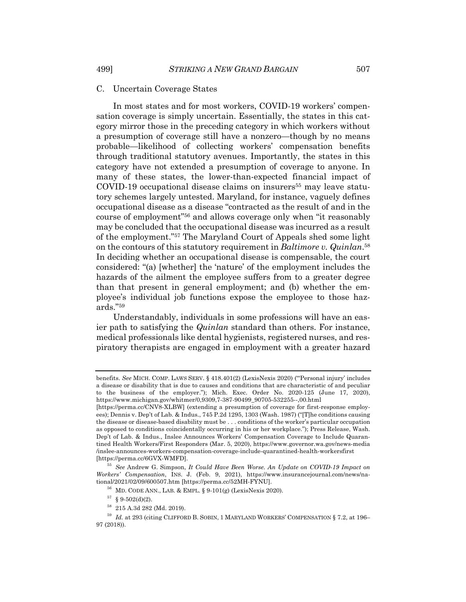#### C. Uncertain Coverage States

In most states and for most workers, COVID-19 workers' compensation coverage is simply uncertain. Essentially, the states in this category mirror those in the preceding category in which workers without a presumption of coverage still have a nonzero—though by no means probable—likelihood of collecting workers' compensation benefits through traditional statutory avenues. Importantly, the states in this category have not extended a presumption of coverage to anyone. In many of these states, the lower-than-expected financial impact of COVID-19 occupational disease claims on insurers<sup>55</sup> may leave statutory schemes largely untested. Maryland, for instance, vaguely defines occupational disease as a disease "contracted as the result of and in the course of employment"56 and allows coverage only when "it reasonably may be concluded that the occupational disease was incurred as a result of the employment."57 The Maryland Court of Appeals shed some light on the contours of this statutory requirement in *Baltimore v. Quinlan*. 58 In deciding whether an occupational disease is compensable, the court considered: "(a) [whether] the 'nature' of the employment includes the hazards of the ailment the employee suffers from to a greater degree than that present in general employment; and (b) whether the employee's individual job functions expose the employee to those hazards."59

Understandably, individuals in some professions will have an easier path to satisfying the *Quinlan* standard than others. For instance, medical professionals like dental hygienists, registered nurses, and respiratory therapists are engaged in employment with a greater hazard

benefits. *See* MICH. COMP. LAWS SERV. § 418.401(2) (LexisNexis 2020) ("'Personal injury' includes a disease or disability that is due to causes and conditions that are characteristic of and peculiar to the business of the employer."); Mich. Exec. Order No. 2020-125 (June 17, 2020), https://www.michigan.gov/whitmer/0,9309,7-387-90499\_90705-532255--,00.html

<sup>[</sup>https://perma.cc/CNV8-XLBW] (extending a presumption of coverage for first-response employees); Dennis v. Dep't of Lab. & Indus., 745 P.2d 1295, 1303 (Wash. 1987) ("[T]he conditions causing the disease or disease-based disability must be . . . conditions of the worker's particular occupation as opposed to conditions coincidentally occurring in his or her workplace."); Press Release, Wash. Dep't of Lab. & Indus., Inslee Announces Workers' Compensation Coverage to Include Quarantined Health Workers/First Responders (Mar. 5, 2020), https://www.governor.wa.gov/news-media /inslee-announces-workers-compensation-coverage-include-quarantined-health-workersfirst [https://perma.cc/6GVX-WMFD].

<sup>55</sup> *See* Andrew G. Simpson, *It Could Have Been Worse. An Update on COVID-19 Impact on Workers' Compensation*, INS. J. (Feb. 9, 2021), https://www.insurancejournal.com/news/national/2021/02/09/600507.htm [https://perma.cc/52MH-FYNU].

 $^{56}$  MD. CODE ANN., LAB. & EMPL. § 9-101(g) (LexisNexis 2020).

 $57 \S 9.502(d)(2)$ .

<sup>58</sup> 215 A.3d 282 (Md. 2019).

<sup>59</sup> *Id.* at 293 (citing CLIFFORD B. SOBIN, 1 MARYLAND WORKERS' COMPENSATION § 7.2, at 196– 97 (2018)).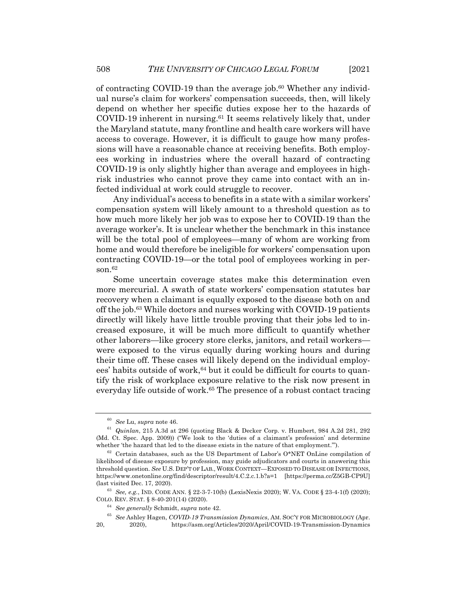of contracting COVID-19 than the average job.<sup>60</sup> Whether any individual nurse's claim for workers' compensation succeeds, then, will likely depend on whether her specific duties expose her to the hazards of COVID-19 inherent in nursing. $61$  It seems relatively likely that, under the Maryland statute, many frontline and health care workers will have access to coverage. However, it is difficult to gauge how many professions will have a reasonable chance at receiving benefits. Both employees working in industries where the overall hazard of contracting COVID-19 is only slightly higher than average and employees in highrisk industries who cannot prove they came into contact with an infected individual at work could struggle to recover.

Any individual's access to benefits in a state with a similar workers' compensation system will likely amount to a threshold question as to how much more likely her job was to expose her to COVID-19 than the average worker's. It is unclear whether the benchmark in this instance will be the total pool of employees—many of whom are working from home and would therefore be ineligible for workers' compensation upon contracting COVID-19—or the total pool of employees working in person.62

Some uncertain coverage states make this determination even more mercurial. A swath of state workers' compensation statutes bar recovery when a claimant is equally exposed to the disease both on and off the job.63 While doctors and nurses working with COVID-19 patients directly will likely have little trouble proving that their jobs led to increased exposure, it will be much more difficult to quantify whether other laborers—like grocery store clerks, janitors, and retail workers were exposed to the virus equally during working hours and during their time off. These cases will likely depend on the individual employees' habits outside of work,<sup>64</sup> but it could be difficult for courts to quantify the risk of workplace exposure relative to the risk now present in everyday life outside of work.<sup>65</sup> The presence of a robust contact tracing

<sup>60</sup> *See* Lu, *supra* note 46.

<sup>61</sup> *Quinlan*, 215 A.3d at 296 (quoting Black & Decker Corp. v. Humbert, 984 A.2d 281, 292 (Md. Ct. Spec. App. 2009)) ("We look to the 'duties of a claimant's profession' and determine whether 'the hazard that led to the disease exists in the nature of that employment.'").

 $62$  Certain databases, such as the US Department of Labor's O\*NET OnLine compilation of likelihood of disease exposure by profession, may guide adjudicators and courts in answering this threshold question. *See* U.S. DEP'T OF LAB., WORK CONTEXT—EXPOSED TO DISEASE OR INFECTIONS, https://www.onetonline.org/find/descriptor/result/4.C.2.c.1.b?a=1 [https://perma.cc/Z5GB-CP9U] (last visited Dec. 17, 2020).

<sup>63</sup> *See, e.g.*, IND. CODE ANN. § 22-3-7-10(b) (LexisNexis 2020); W. VA. CODE § 23-4-1(f) (2020); COLO. REV. STAT. § 8-40-201(14) (2020).

<sup>64</sup> *See generally* Schmidt, *supra* note 42.

<sup>65</sup> *See* Ashley Hagen, *COVID-19 Transmission Dynamics*, AM. SOC'Y FOR MICROBIOLOGY (Apr. 20, 2020), https://asm.org/Articles/2020/April/COVID-19-Transmission-Dynamics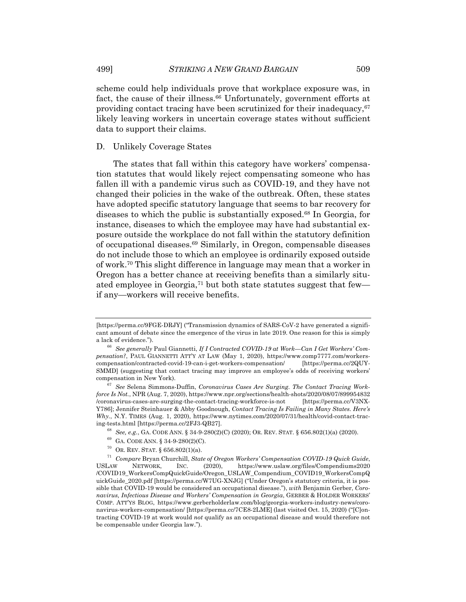scheme could help individuals prove that workplace exposure was, in fact, the cause of their illness.<sup>66</sup> Unfortunately, government efforts at providing contact tracing have been scrutinized for their inadequacy, $67$ likely leaving workers in uncertain coverage states without sufficient data to support their claims.

#### D. Unlikely Coverage States

The states that fall within this category have workers' compensation statutes that would likely reject compensating someone who has fallen ill with a pandemic virus such as COVID-19, and they have not changed their policies in the wake of the outbreak. Often, these states have adopted specific statutory language that seems to bar recovery for diseases to which the public is substantially exposed.68 In Georgia, for instance, diseases to which the employee may have had substantial exposure outside the workplace do not fall within the statutory definition of occupational diseases.69 Similarly, in Oregon, compensable diseases do not include those to which an employee is ordinarily exposed outside of work.70 This slight difference in language may mean that a worker in Oregon has a better chance at receiving benefits than a similarly situated employee in Georgia,71 but both state statutes suggest that few if any—workers will receive benefits.

<sup>[</sup>https://perma.cc/9FGE-DRJY] ("Transmission dynamics of SARS-CoV-2 have generated a significant amount of debate since the emergence of the virus in late 2019. One reason for this is simply a lack of evidence.").

<sup>66</sup> *See generally* Paul Giannetti, *If I Contracted COVID-19 at Work—Can I Get Workers' Compensation?*, PAUL GIANNETTI ATT'Y AT LAW (May 1, 2020), https://www.comp7777.com/workerscompensation/contracted-covid-19-can-i-get-workers-compensation/ [https://perma.cc/2QUY-SMMD] (suggesting that contact tracing may improve an employee's odds of receiving workers' compensation in New York).

<sup>67</sup> *See* Selena Simmons-Duffin, *Coronavirus Cases Are Surging. The Contact Tracing Workforce Is Not.*, NPR (Aug. 7, 2020), https://www.npr.org/sections/health-shots/2020/08/07/899954832 /coronavirus-cases-are-surging-the-contact-tracing-workforce-is-not [https://perma.cc/V3NX-Y786]; Jennifer Steinhauer & Abby Goodnough, *Contact Tracing Is Failing in Many States. Here's Why.*, N.Y. TIMES (Aug. 1, 2020), https://www.nytimes.com/2020/07/31/health/covid-contact-tracing-tests.html [https://perma.cc/2FJ3-QB27].

<sup>68</sup> *See, e.g.*, GA. CODE ANN. § 34-9-280(2)(C) (2020); OR. REV. STAT. § 656.802(1)(a) (2020).

<sup>69</sup> GA. CODE ANN. § 34-9-280(2)(C).

<sup>&</sup>lt;sup>70</sup> OR. REV. STAT. §  $656.802(1)(a)$ .

<sup>71</sup> *Compare* Bryan Churchill, *State of Oregon Workers' Compensation COVID-19 Quick Guide*, USLAW NETWORK, INC. (2020), https://www.uslaw.org/files/Compendiums2020 /COVID19\_WorkersCompQuickGuide/Oregon\_USLAW\_Compendium\_COVID19\_WorkersCompQ uickGuide\_2020.pdf [https://perma.cc/W7UG-XNJG] ("Under Oregon's statutory criteria, it is possible that COVID-19 would be considered an occupational disease."), *with* Benjamin Gerber, *Coronavirus, Infectious Disease and Workers' Compensation in Georgia*, GERBER & HOLDER WORKERS' COMP. ATT'YS BLOG, https://www.gerberholderlaw.com/blog/georgia-workers-industry-news/coronavirus-workers-compensation/ [https://perma.cc/7CE8-2LME] (last visited Oct. 15, 2020) ("[C]ontracting COVID-19 at work would *not* qualify as an occupational disease and would therefore not be compensable under Georgia law.").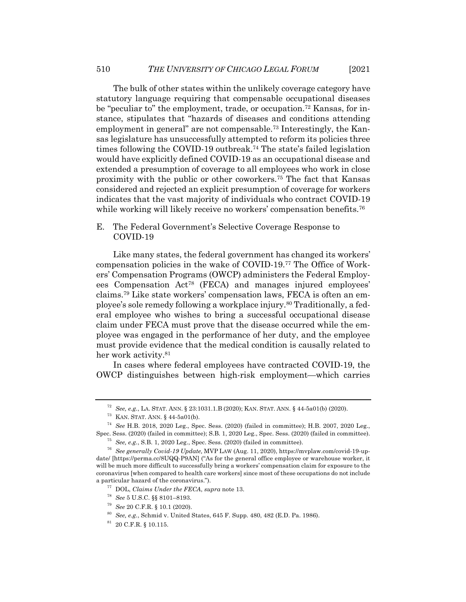The bulk of other states within the unlikely coverage category have statutory language requiring that compensable occupational diseases be "peculiar to" the employment, trade, or occupation.72 Kansas, for instance, stipulates that "hazards of diseases and conditions attending employment in general" are not compensable.<sup>73</sup> Interestingly, the Kansas legislature has unsuccessfully attempted to reform its policies three times following the COVID-19 outbreak.74 The state's failed legislation would have explicitly defined COVID-19 as an occupational disease and extended a presumption of coverage to all employees who work in close proximity with the public or other coworkers.75 The fact that Kansas considered and rejected an explicit presumption of coverage for workers indicates that the vast majority of individuals who contract COVID-19 while working will likely receive no workers' compensation benefits.<sup>76</sup>

E. The Federal Government's Selective Coverage Response to COVID-19

Like many states, the federal government has changed its workers' compensation policies in the wake of COVID-19.77 The Office of Workers' Compensation Programs (OWCP) administers the Federal Employees Compensation Act78 (FECA) and manages injured employees' claims.79 Like state workers' compensation laws, FECA is often an employee's sole remedy following a workplace injury.80 Traditionally, a federal employee who wishes to bring a successful occupational disease claim under FECA must prove that the disease occurred while the employee was engaged in the performance of her duty, and the employee must provide evidence that the medical condition is causally related to her work activity.<sup>81</sup>

In cases where federal employees have contracted COVID-19, the OWCP distinguishes between high-risk employment—which carries

<sup>72</sup> *See, e.g.*, LA. STAT. ANN. § 23:1031.1.B (2020); KAN. STAT. ANN. § 44-5a01(b) (2020).

<sup>73</sup> KAN. STAT. ANN. § 44-5a01(b).

<sup>74</sup> *See* H.B. 2018, 2020 Leg., Spec. Sess. (2020) (failed in committee); H.B. 2007, 2020 Leg., Spec. Sess. (2020) (failed in committee); S.B. 1, 2020 Leg., Spec. Sess. (2020) (failed in committee).

<sup>75</sup> *See, e.g.*, S.B. 1, 2020 Leg., Spec. Sess. (2020) (failed in committee).

<sup>76</sup> *See generally Covid-19 Update,* MVP LAW (Aug. 11, 2020), https://mvplaw.com/covid-19-update/ [https://perma.cc/8UQQ-P9AN] ("As for the general office employee or warehouse worker, it will be much more difficult to successfully bring a workers' compensation claim for exposure to the coronavirus [when compared to health care workers] since most of these occupations do not include a particular hazard of the coronavirus.").

<sup>77</sup> DOL, *Claims Under the FECA*, *supra* note 13.

<sup>78</sup> *See* 5 U.S.C. §§ 8101–8193.

<sup>79</sup> *See* 20 C.F.R. § 10.1 (2020).

<sup>80</sup> *See, e.g.*, Schmid v. United States, 645 F. Supp. 480, 482 (E.D. Pa. 1986).

 $^{81}$  20 C.F.R. § 10.115.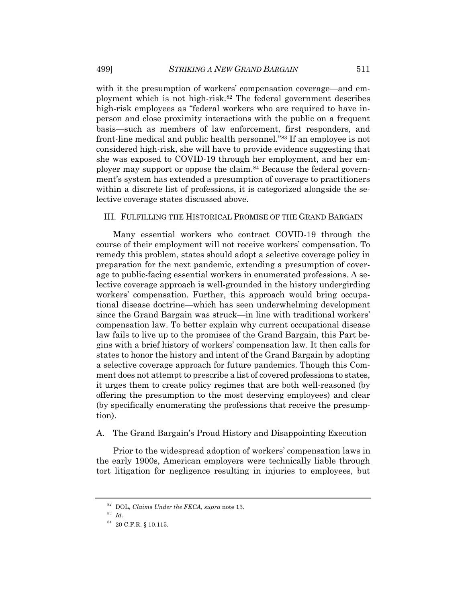with it the presumption of workers' compensation coverage—and employment which is not high-risk.82 The federal government describes high-risk employees as "federal workers who are required to have inperson and close proximity interactions with the public on a frequent basis—such as members of law enforcement, first responders, and front-line medical and public health personnel."83 If an employee is not considered high-risk, she will have to provide evidence suggesting that she was exposed to COVID-19 through her employment, and her employer may support or oppose the claim.84 Because the federal government's system has extended a presumption of coverage to practitioners within a discrete list of professions, it is categorized alongside the selective coverage states discussed above.

#### III. FULFILLING THE HISTORICAL PROMISE OF THE GRAND BARGAIN

Many essential workers who contract COVID-19 through the course of their employment will not receive workers' compensation. To remedy this problem, states should adopt a selective coverage policy in preparation for the next pandemic, extending a presumption of coverage to public-facing essential workers in enumerated professions. A selective coverage approach is well-grounded in the history undergirding workers' compensation. Further, this approach would bring occupational disease doctrine—which has seen underwhelming development since the Grand Bargain was struck—in line with traditional workers' compensation law. To better explain why current occupational disease law fails to live up to the promises of the Grand Bargain, this Part begins with a brief history of workers' compensation law. It then calls for states to honor the history and intent of the Grand Bargain by adopting a selective coverage approach for future pandemics. Though this Comment does not attempt to prescribe a list of covered professions to states, it urges them to create policy regimes that are both well-reasoned (by offering the presumption to the most deserving employees) and clear (by specifically enumerating the professions that receive the presumption).

# A. The Grand Bargain's Proud History and Disappointing Execution

Prior to the widespread adoption of workers' compensation laws in the early 1900s, American employers were technically liable through tort litigation for negligence resulting in injuries to employees, but

<sup>82</sup> DOL, *Claims Under the FECA*, *supra* note 13.

<sup>83</sup> *Id.*

 $^{84}$  20 C.F.R. § 10.115.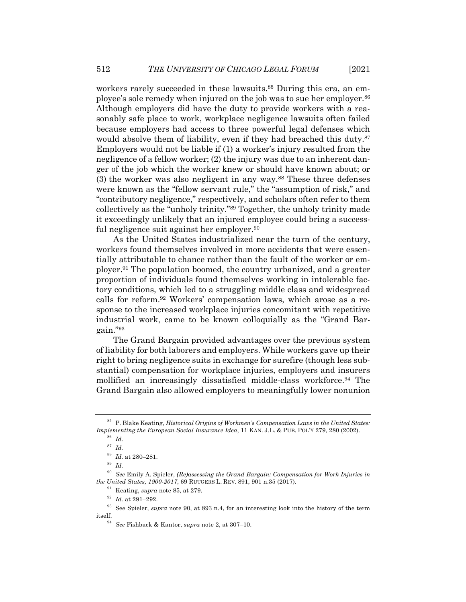workers rarely succeeded in these lawsuits.<sup>85</sup> During this era, an employee's sole remedy when injured on the job was to sue her employer.<sup>86</sup> Although employers did have the duty to provide workers with a reasonably safe place to work, workplace negligence lawsuits often failed because employers had access to three powerful legal defenses which would absolve them of liability, even if they had breached this duty.<sup>87</sup> Employers would not be liable if (1) a worker's injury resulted from the negligence of a fellow worker; (2) the injury was due to an inherent danger of the job which the worker knew or should have known about; or (3) the worker was also negligent in any way.88 These three defenses were known as the "fellow servant rule," the "assumption of risk," and "contributory negligence," respectively, and scholars often refer to them collectively as the "unholy trinity."89 Together, the unholy trinity made it exceedingly unlikely that an injured employee could bring a successful negligence suit against her employer.<sup>90</sup>

As the United States industrialized near the turn of the century, workers found themselves involved in more accidents that were essentially attributable to chance rather than the fault of the worker or employer.91 The population boomed, the country urbanized, and a greater proportion of individuals found themselves working in intolerable factory conditions, which led to a struggling middle class and widespread calls for reform.92 Workers' compensation laws, which arose as a response to the increased workplace injuries concomitant with repetitive industrial work, came to be known colloquially as the "Grand Bargain."93

The Grand Bargain provided advantages over the previous system of liability for both laborers and employers. While workers gave up their right to bring negligence suits in exchange for surefire (though less substantial) compensation for workplace injuries, employers and insurers mollified an increasingly dissatisfied middle-class workforce.94 The Grand Bargain also allowed employers to meaningfully lower nonunion

<sup>85</sup> P. Blake Keating, *Historical Origins of Workmen's Compensation Laws in the United States: Implementing the European Social Insurance Idea*, 11 KAN. J.L. & PUB. POL'Y 279, 280 (2002).

<sup>86</sup> *Id.*

<sup>87</sup> *Id.*

<sup>88</sup> *Id.* at 280–281.

<sup>89</sup> *Id.*

<sup>90</sup> *See* Emily A. Spieler, *(Re)assessing the Grand Bargain: Compensation for Work Injuries in the United States, 1900-2017*, 69 RUTGERS L. REV. 891, 901 n.35 (2017).

<sup>91</sup> Keating, *supra* note 85, at 279.

<sup>92</sup> *Id.* at 291–292.

<sup>93</sup> See Spieler, *supra* note 90, at 893 n.4, for an interesting look into the history of the term itself.

<sup>94</sup> *See* Fishback & Kantor, *supra* note 2, at 307–10.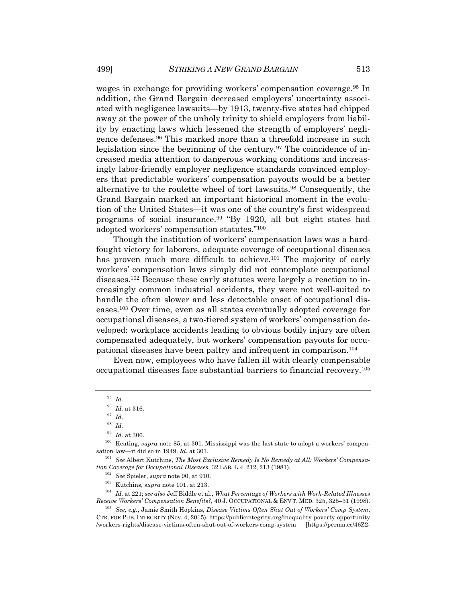wages in exchange for providing workers' compensation coverage.95 In addition, the Grand Bargain decreased employers' uncertainty associated with negligence lawsuits—by 1913, twenty-five states had chipped away at the power of the unholy trinity to shield employers from liability by enacting laws which lessened the strength of employers' negligence defenses.96 This marked more than a threefold increase in such legislation since the beginning of the century.97 The coincidence of increased media attention to dangerous working conditions and increasingly labor-friendly employer negligence standards convinced employers that predictable workers' compensation payouts would be a better alternative to the roulette wheel of tort lawsuits.98 Consequently, the Grand Bargain marked an important historical moment in the evolution of the United States—it was one of the country's first widespread programs of social insurance.99 "By 1920, all but eight states had adopted workers' compensation statutes."100

Though the institution of workers' compensation laws was a hardfought victory for laborers, adequate coverage of occupational diseases has proven much more difficult to achieve.<sup>101</sup> The majority of early workers' compensation laws simply did not contemplate occupational diseases.102 Because these early statutes were largely a reaction to increasingly common industrial accidents, they were not well-suited to handle the often slower and less detectable onset of occupational diseases.103 Over time, even as all states eventually adopted coverage for occupational diseases, a two-tiered system of workers' compensation developed: workplace accidents leading to obvious bodily injury are often compensated adequately, but workers' compensation payouts for occupational diseases have been paltry and infrequent in comparison.104

Even now, employees who have fallen ill with clearly compensable occupational diseases face substantial barriers to financial recovery.105

<sup>104</sup> *Id.* at 221; *see also* Jeff Biddle et al., *What Percentage of Workers with Work-Related Illnesses Receive Workers' Compensation Benefits?*, 40 J. OCCUPATIONAL & ENV'T. MED. 325, 325–31 (1998).

<sup>95</sup> *Id.*

<sup>96</sup> *Id.* at 316.

<sup>97</sup> *Id.*

<sup>98</sup> *Id.*

<sup>99</sup> *Id.* at 306.

<sup>100</sup> Keating, *supra* note 85, at 301. Mississippi was the last state to adopt a workers' compensation law—it did so in 1949. *Id.* at 301.

<sup>101</sup> *See* Albert Kutchins, *The Most Exclusive Remedy Is No Remedy at All: Workers' Compensation Coverage for Occupational Diseases*, 32 LAB. L.J. 212, 213 (1981).

<sup>102</sup> *See* Spieler, *supra* note 90, at 910.

<sup>103</sup> Kutchins, *supra* note 101, at 213.

<sup>105</sup> *See, e.g.*, Jamie Smith Hopkins, *Disease Victims Often Shut Out of Workers' Comp System*, CTR. FOR PUB. INTEGRITY (Nov. 4, 2015), https://publicintegrity.org/inequality-poverty-opportunity /workers-rights/disease-victims-often-shut-out-of-workers-comp-system [https://perma.cc/46Z2-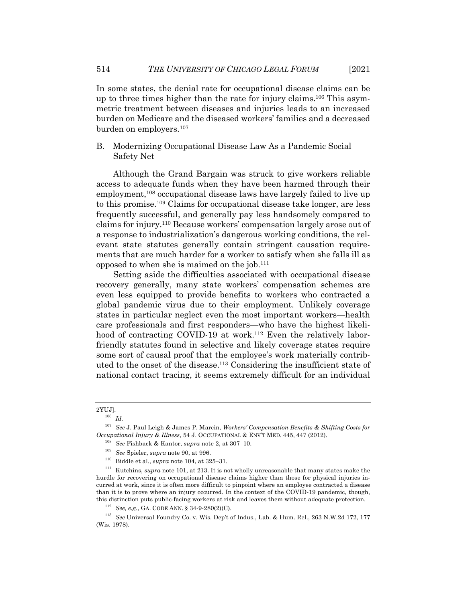In some states, the denial rate for occupational disease claims can be up to three times higher than the rate for injury claims.106 This asymmetric treatment between diseases and injuries leads to an increased burden on Medicare and the diseased workers' families and a decreased burden on employers.107

# B. Modernizing Occupational Disease Law As a Pandemic Social Safety Net

Although the Grand Bargain was struck to give workers reliable access to adequate funds when they have been harmed through their employment,<sup>108</sup> occupational disease laws have largely failed to live up to this promise.109 Claims for occupational disease take longer, are less frequently successful, and generally pay less handsomely compared to claims for injury.110 Because workers' compensation largely arose out of a response to industrialization's dangerous working conditions, the relevant state statutes generally contain stringent causation requirements that are much harder for a worker to satisfy when she falls ill as opposed to when she is maimed on the job.111

Setting aside the difficulties associated with occupational disease recovery generally, many state workers' compensation schemes are even less equipped to provide benefits to workers who contracted a global pandemic virus due to their employment. Unlikely coverage states in particular neglect even the most important workers—health care professionals and first responders—who have the highest likelihood of contracting COVID-19 at work.<sup>112</sup> Even the relatively laborfriendly statutes found in selective and likely coverage states require some sort of causal proof that the employee's work materially contributed to the onset of the disease.113 Considering the insufficient state of national contact tracing, it seems extremely difficult for an individual

<sup>2</sup>YUJ].

<sup>106</sup> *Id.*

<sup>107</sup> *See* J. Paul Leigh & James P. Marcin, *Workers' Compensation Benefits & Shifting Costs for Occupational Injury & Illness*, 54 J. OCCUPATIONAL & ENV'T MED. 445, 447 (2012).

<sup>108</sup> *See* Fishback & Kantor, *supra* note 2, at 307–10.

<sup>109</sup> *See* Spieler, *supra* note 90, at 996.

<sup>&</sup>lt;sup>110</sup> Biddle et al., *supra* note 104, at 325–31.<br><sup>111</sup> Kutchins, *supra* note 101, at 213. It is no

<sup>111</sup> Kutchins, *supra* note 101, at 213. It is not wholly unreasonable that many states make the hurdle for recovering on occupational disease claims higher than those for physical injuries incurred at work, since it is often more difficult to pinpoint where an employee contracted a disease than it is to prove where an injury occurred. In the context of the COVID-19 pandemic, though, this distinction puts public-facing workers at risk and leaves them without adequate protection.

<sup>112</sup> *See, e.g.*, GA. CODE ANN. § 34-9-280(2)(C).

<sup>113</sup> *See* Universal Foundry Co. v. Wis. Dep't of Indus., Lab. & Hum. Rel., 263 N.W.2d 172, 177 (Wis. 1978).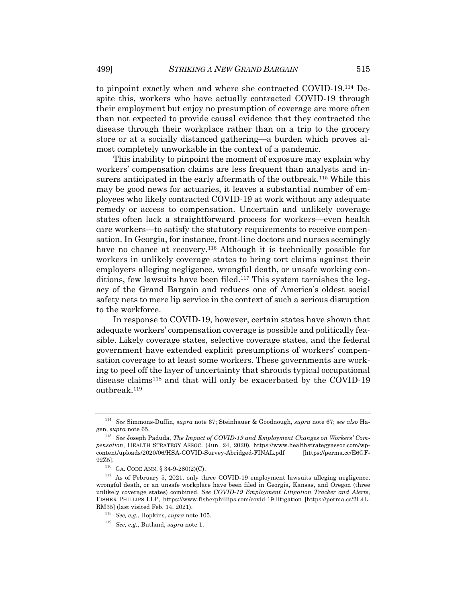to pinpoint exactly when and where she contracted COVID-19.114 Despite this, workers who have actually contracted COVID-19 through their employment but enjoy no presumption of coverage are more often than not expected to provide causal evidence that they contracted the disease through their workplace rather than on a trip to the grocery store or at a socially distanced gathering—a burden which proves almost completely unworkable in the context of a pandemic.

This inability to pinpoint the moment of exposure may explain why workers' compensation claims are less frequent than analysts and insurers anticipated in the early aftermath of the outbreak.<sup>115</sup> While this may be good news for actuaries, it leaves a substantial number of employees who likely contracted COVID-19 at work without any adequate remedy or access to compensation. Uncertain and unlikely coverage states often lack a straightforward process for workers—even health care workers—to satisfy the statutory requirements to receive compensation. In Georgia, for instance, front-line doctors and nurses seemingly have no chance at recovery.<sup>116</sup> Although it is technically possible for workers in unlikely coverage states to bring tort claims against their employers alleging negligence, wrongful death, or unsafe working conditions, few lawsuits have been filed.117 This system tarnishes the legacy of the Grand Bargain and reduces one of America's oldest social safety nets to mere lip service in the context of such a serious disruption to the workforce.

In response to COVID-19, however, certain states have shown that adequate workers' compensation coverage is possible and politically feasible. Likely coverage states, selective coverage states, and the federal government have extended explicit presumptions of workers' compensation coverage to at least some workers. These governments are working to peel off the layer of uncertainty that shrouds typical occupational disease claims<sup>118</sup> and that will only be exacerbated by the COVID-19 outbreak.119

<sup>114</sup> *See* Simmons-Duffin, *supra* note 67; Steinhauer & Goodnough, *supra* note 67; *see also* Hagen, *supra* note 65.

<sup>115</sup> *See* Joseph Paduda, *The Impact of COVID-19 and Employment Changes on Workers' Compensation*, HEALTH STRATEGY ASSOC. (Jun. 24, 2020), https://www.healthstrategyassoc.com/wpcontent/uploads/2020/06/HSA-COVID-Survey-Abridged-FINAL.pdf [https://perma.cc/E6GF-92Z5].

<sup>116</sup> GA. CODE ANN. § 34-9-280(2)(C).

 $117$  As of February 5, 2021, only three COVID-19 employment lawsuits alleging negligence, wrongful death, or an unsafe workplace have been filed in Georgia, Kansas, and Oregon (three unlikely coverage states) combined. *See COVID-19 Employment Litigation Tracker and Alerts*, FISHER PHILLIPS LLP, https://www.fisherphillips.com/covid-19-litigation [https://perma.cc/2L4L-RM35] (last visited Feb. 14, 2021).

<sup>118</sup> *See, e.g.*, Hopkins, *supra* note 105.

<sup>119</sup> *See, e.g.*, Butland, *supra* note 1.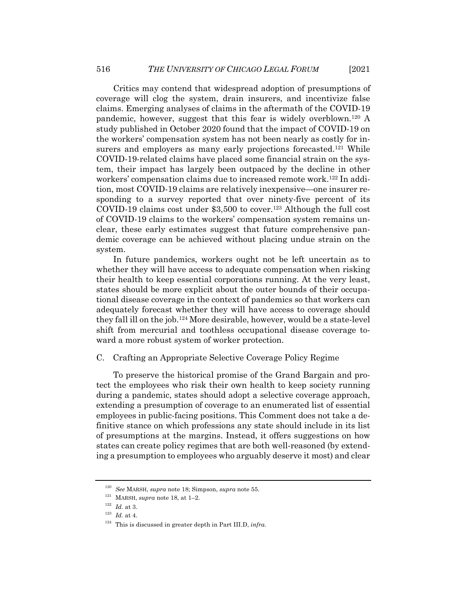Critics may contend that widespread adoption of presumptions of coverage will clog the system, drain insurers, and incentivize false claims. Emerging analyses of claims in the aftermath of the COVID-19 pandemic, however, suggest that this fear is widely overblown.120 A study published in October 2020 found that the impact of COVID-19 on the workers' compensation system has not been nearly as costly for insurers and employers as many early projections forecasted.<sup>121</sup> While COVID-19-related claims have placed some financial strain on the system, their impact has largely been outpaced by the decline in other workers' compensation claims due to increased remote work.122 In addition, most COVID-19 claims are relatively inexpensive—one insurer responding to a survey reported that over ninety-five percent of its COVID-19 claims cost under \$3,500 to cover.<sup>123</sup> Although the full cost of COVID-19 claims to the workers' compensation system remains unclear, these early estimates suggest that future comprehensive pandemic coverage can be achieved without placing undue strain on the system.

In future pandemics, workers ought not be left uncertain as to whether they will have access to adequate compensation when risking their health to keep essential corporations running. At the very least, states should be more explicit about the outer bounds of their occupational disease coverage in the context of pandemics so that workers can adequately forecast whether they will have access to coverage should they fall ill on the job.124 More desirable, however, would be a state-level shift from mercurial and toothless occupational disease coverage toward a more robust system of worker protection.

### C. Crafting an Appropriate Selective Coverage Policy Regime

To preserve the historical promise of the Grand Bargain and protect the employees who risk their own health to keep society running during a pandemic, states should adopt a selective coverage approach, extending a presumption of coverage to an enumerated list of essential employees in public-facing positions. This Comment does not take a definitive stance on which professions any state should include in its list of presumptions at the margins. Instead, it offers suggestions on how states can create policy regimes that are both well-reasoned (by extending a presumption to employees who arguably deserve it most) and clear

<sup>120</sup> *See* MARSH, *supra* note 18; Simpson, *supra* note 55.

 $^{121}$  MARSH,  ${supra}$  note 18, at 1–2.

<sup>122</sup> *Id.* at 3.

<sup>123</sup> *Id.* at 4.

<sup>124</sup> This is discussed in greater depth in Part III.D, *infra*.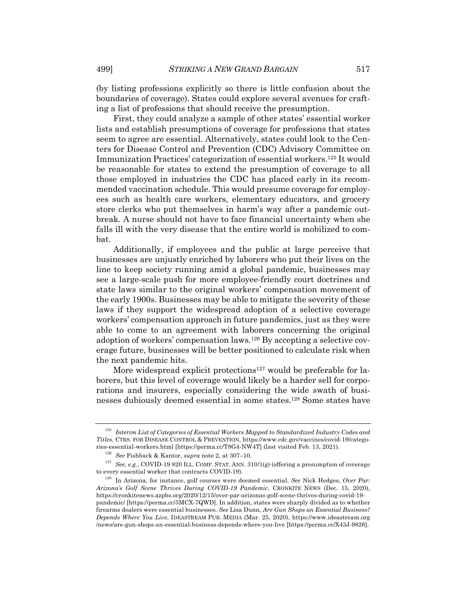(by listing professions explicitly so there is little confusion about the boundaries of coverage). States could explore several avenues for crafting a list of professions that should receive the presumption.

First, they could analyze a sample of other states' essential worker lists and establish presumptions of coverage for professions that states seem to agree are essential. Alternatively, states could look to the Centers for Disease Control and Prevention (CDC) Advisory Committee on Immunization Practices' categorization of essential workers.125 It would be reasonable for states to extend the presumption of coverage to all those employed in industries the CDC has placed early in its recommended vaccination schedule. This would presume coverage for employees such as health care workers, elementary educators, and grocery store clerks who put themselves in harm's way after a pandemic outbreak. A nurse should not have to face financial uncertainty when she falls ill with the very disease that the entire world is mobilized to combat.

Additionally, if employees and the public at large perceive that businesses are unjustly enriched by laborers who put their lives on the line to keep society running amid a global pandemic, businesses may see a large-scale push for more employee-friendly court doctrines and state laws similar to the original workers' compensation movement of the early 1900s. Businesses may be able to mitigate the severity of these laws if they support the widespread adoption of a selective coverage workers' compensation approach in future pandemics, just as they were able to come to an agreement with laborers concerning the original adoption of workers' compensation laws.126 By accepting a selective coverage future, businesses will be better positioned to calculate risk when the next pandemic hits.

More widespread explicit protections<sup>127</sup> would be preferable for laborers, but this level of coverage would likely be a harder sell for corporations and insurers, especially considering the wide swath of businesses dubiously deemed essential in some states.128 Some states have

<sup>125</sup> *Interim List of Categories of Essential Workers Mapped to Standardized Industry Codes and Titles*, CTRS. FOR DISEASE CONTROL & PREVENTION, https://www.cdc.gov/vaccines/covid-19/categories-essential-workers.html [https://perma.cc/T8G4-NW4T] (last visited Feb. 13, 2021).

<sup>126</sup> *See* Fishback & Kantor, *supra* note 2, at 307–10.

<sup>127</sup> *See, e.g.*, COVID-19 820 ILL. COMP. STAT. ANN. 310/1(g) (offering a presumption of coverage to every essential worker that contracts COVID-19).

<sup>128</sup> In Arizona, for instance, golf courses were deemed essential. *See* Nick Hedges, *Over Par: Arizona's Golf Scene Thrives During COVID-19 Pandemic*, CRONKITE NEWS (Dec. 15, 2020), https://cronkitenews.azpbs.org/2020/12/15/over-par-arizonas-golf-scene-thrives-during-covid-19 pandemic/ [https://perma.cc/5MCX-7QWD]. In addition, states were sharply divided as to whether firearms dealers were essential businesses. *See* Lisa Dunn, *Are Gun Shops an Essential Business? Depends Where You Live*, IDEASTREAM PUB. MEDIA (Mar. 25, 2020), https://www.ideastream.org /news/are-gun-shops-an-essential-business-depends-where-you-live [https://perma.cc/X43J-9826].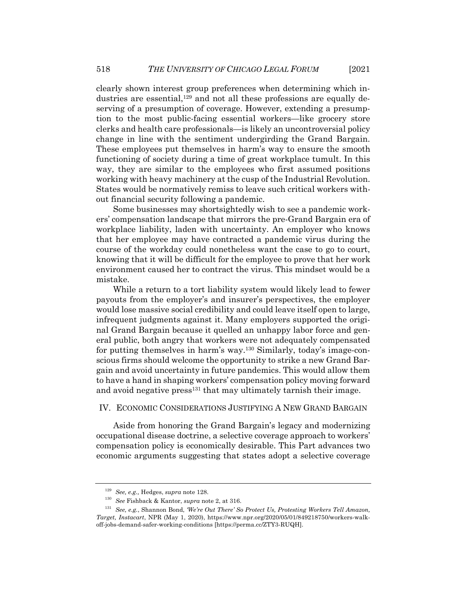clearly shown interest group preferences when determining which industries are essential, $129$  and not all these professions are equally deserving of a presumption of coverage. However, extending a presumption to the most public-facing essential workers—like grocery store clerks and health care professionals—is likely an uncontroversial policy change in line with the sentiment undergirding the Grand Bargain. These employees put themselves in harm's way to ensure the smooth functioning of society during a time of great workplace tumult. In this way, they are similar to the employees who first assumed positions working with heavy machinery at the cusp of the Industrial Revolution. States would be normatively remiss to leave such critical workers without financial security following a pandemic.

Some businesses may shortsightedly wish to see a pandemic workers' compensation landscape that mirrors the pre-Grand Bargain era of workplace liability, laden with uncertainty. An employer who knows that her employee may have contracted a pandemic virus during the course of the workday could nonetheless want the case to go to court, knowing that it will be difficult for the employee to prove that her work environment caused her to contract the virus. This mindset would be a mistake.

While a return to a tort liability system would likely lead to fewer payouts from the employer's and insurer's perspectives, the employer would lose massive social credibility and could leave itself open to large, infrequent judgments against it. Many employers supported the original Grand Bargain because it quelled an unhappy labor force and general public, both angry that workers were not adequately compensated for putting themselves in harm's way.<sup>130</sup> Similarly, today's image-conscious firms should welcome the opportunity to strike a new Grand Bargain and avoid uncertainty in future pandemics. This would allow them to have a hand in shaping workers' compensation policy moving forward and avoid negative press<sup>131</sup> that may ultimately tarnish their image.

#### IV. ECONOMIC CONSIDERATIONS JUSTIFYING A NEW GRAND BARGAIN

Aside from honoring the Grand Bargain's legacy and modernizing occupational disease doctrine, a selective coverage approach to workers' compensation policy is economically desirable. This Part advances two economic arguments suggesting that states adopt a selective coverage

<sup>129</sup> *See, e.g.,* Hedges, *supra* note 128.

<sup>130</sup> *See* Fishback & Kantor, *supra* note 2, at 316.

<sup>131</sup> *See, e.g.*, Shannon Bond, *'We're Out There' So Protect Us, Protesting Workers Tell Amazon, Target, Instacart*, NPR (May 1, 2020), https://www.npr.org/2020/05/01/849218750/workers-walkoff-jobs-demand-safer-working-conditions [https://perma.cc/ZTY3-RUQH].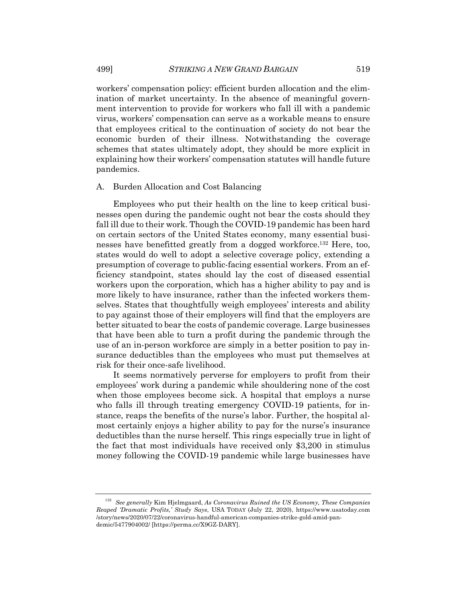workers' compensation policy: efficient burden allocation and the elimination of market uncertainty. In the absence of meaningful government intervention to provide for workers who fall ill with a pandemic virus, workers' compensation can serve as a workable means to ensure that employees critical to the continuation of society do not bear the economic burden of their illness. Notwithstanding the coverage schemes that states ultimately adopt, they should be more explicit in explaining how their workers' compensation statutes will handle future pandemics.

#### A. Burden Allocation and Cost Balancing

Employees who put their health on the line to keep critical businesses open during the pandemic ought not bear the costs should they fall ill due to their work. Though the COVID-19 pandemic has been hard on certain sectors of the United States economy, many essential businesses have benefitted greatly from a dogged workforce.132 Here, too, states would do well to adopt a selective coverage policy, extending a presumption of coverage to public-facing essential workers. From an efficiency standpoint, states should lay the cost of diseased essential workers upon the corporation, which has a higher ability to pay and is more likely to have insurance, rather than the infected workers themselves. States that thoughtfully weigh employees' interests and ability to pay against those of their employers will find that the employers are better situated to bear the costs of pandemic coverage. Large businesses that have been able to turn a profit during the pandemic through the use of an in-person workforce are simply in a better position to pay insurance deductibles than the employees who must put themselves at risk for their once-safe livelihood.

It seems normatively perverse for employers to profit from their employees' work during a pandemic while shouldering none of the cost when those employees become sick. A hospital that employs a nurse who falls ill through treating emergency COVID-19 patients, for instance, reaps the benefits of the nurse's labor. Further, the hospital almost certainly enjoys a higher ability to pay for the nurse's insurance deductibles than the nurse herself. This rings especially true in light of the fact that most individuals have received only \$3,200 in stimulus money following the COVID-19 pandemic while large businesses have

<sup>132</sup> *See generally* Kim Hjelmgaard, *As Coronavirus Ruined the US Economy, These Companies Reaped 'Dramatic Profits,' Study Says*, USA TODAY (July 22, 2020), https://www.usatoday.com /story/news/2020/07/22/coronavirus-handful-american-companies-strike-gold-amid-pandemic/5477904002/ [https://perma.cc/X9GZ-DARY].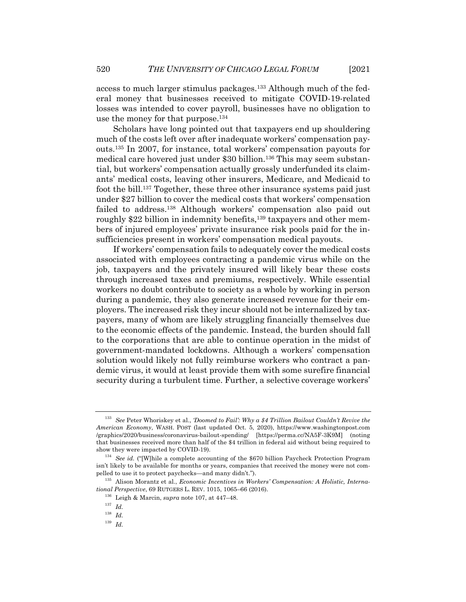access to much larger stimulus packages.133 Although much of the federal money that businesses received to mitigate COVID-19-related losses was intended to cover payroll, businesses have no obligation to

use the money for that purpose.134 Scholars have long pointed out that taxpayers end up shouldering much of the costs left over after inadequate workers' compensation payouts.135 In 2007, for instance, total workers' compensation payouts for medical care hovered just under \$30 billion.<sup>136</sup> This may seem substantial, but workers' compensation actually grossly underfunded its claimants' medical costs, leaving other insurers, Medicare, and Medicaid to foot the bill.137 Together, these three other insurance systems paid just under \$27 billion to cover the medical costs that workers' compensation failed to address.<sup>138</sup> Although workers' compensation also paid out roughly \$22 billion in indemnity benefits,<sup>139</sup> taxpayers and other members of injured employees' private insurance risk pools paid for the insufficiencies present in workers' compensation medical payouts.

If workers' compensation fails to adequately cover the medical costs associated with employees contracting a pandemic virus while on the job, taxpayers and the privately insured will likely bear these costs through increased taxes and premiums, respectively. While essential workers no doubt contribute to society as a whole by working in person during a pandemic, they also generate increased revenue for their employers. The increased risk they incur should not be internalized by taxpayers, many of whom are likely struggling financially themselves due to the economic effects of the pandemic. Instead, the burden should fall to the corporations that are able to continue operation in the midst of government-mandated lockdowns. Although a workers' compensation solution would likely not fully reimburse workers who contract a pandemic virus, it would at least provide them with some surefire financial security during a turbulent time. Further, a selective coverage workers'

<sup>133</sup> *See* Peter Whoriskey et al., *'Doomed to Fail': Why a \$4 Trillion Bailout Couldn't Revive the American Economy*, WASH. POST (last updated Oct. 5, 2020), https://www.washingtonpost.com /graphics/2020/business/coronavirus-bailout-spending/ [https://perma.cc/NA5F-3K9M] (noting that businesses received more than half of the \$4 trillion in federal aid without being required to show they were impacted by COVID-19).

<sup>134</sup> *See id.* ("[W]hile a complete accounting of the \$670 billion Paycheck Protection Program isn't likely to be available for months or years, companies that received the money were not compelled to use it to protect paychecks—and many didn't.").

<sup>135</sup> Alison Morantz et al., *Economic Incentives in Workers' Compensation: A Holistic, International Perspective*, 69 RUTGERS L. REV. 1015, 1065–66 (2016).

<sup>136</sup> Leigh & Marcin, *supra* note 107, at 447–48.

<sup>137</sup> *Id.*

<sup>138</sup> *Id.*

<sup>139</sup> *Id.*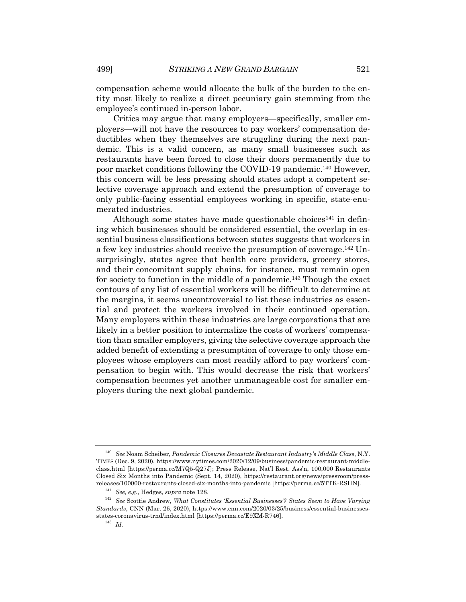compensation scheme would allocate the bulk of the burden to the entity most likely to realize a direct pecuniary gain stemming from the employee's continued in-person labor.

Critics may argue that many employers—specifically, smaller employers—will not have the resources to pay workers' compensation deductibles when they themselves are struggling during the next pandemic. This is a valid concern, as many small businesses such as restaurants have been forced to close their doors permanently due to poor market conditions following the COVID-19 pandemic. <sup>140</sup> However, this concern will be less pressing should states adopt a competent selective coverage approach and extend the presumption of coverage to only public-facing essential employees working in specific, state-enumerated industries.

Although some states have made questionable choices<sup>141</sup> in defining which businesses should be considered essential, the overlap in essential business classifications between states suggests that workers in a few key industries should receive the presumption of coverage.142 Unsurprisingly, states agree that health care providers, grocery stores, and their concomitant supply chains, for instance, must remain open for society to function in the middle of a pandemic.143 Though the exact contours of any list of essential workers will be difficult to determine at the margins, it seems uncontroversial to list these industries as essential and protect the workers involved in their continued operation. Many employers within these industries are large corporations that are likely in a better position to internalize the costs of workers' compensation than smaller employers, giving the selective coverage approach the added benefit of extending a presumption of coverage to only those employees whose employers can most readily afford to pay workers' compensation to begin with. This would decrease the risk that workers' compensation becomes yet another unmanageable cost for smaller employers during the next global pandemic.

<sup>140</sup> *See* Noam Scheiber, *Pandemic Closures Devastate Restaurant Industry's Middle Class*, N.Y. TIMES (Dec. 9, 2020), https://www.nytimes.com/2020/12/09/business/pandemic-restaurant-middleclass.html [https://perma.cc/M7Q5-Q27J]; Press Release, Nat'l Rest. Ass'n, 100,000 Restaurants Closed Six Months into Pandemic (Sept. 14, 2020), https://restaurant.org/news/pressroom/pressreleases/100000-restaurants-closed-six-months-into-pandemic [https://perma.cc/5TTK-RSHN].

<sup>141</sup> *See, e.g.*, Hedges, *supra* note 128.

<sup>142</sup> *See* Scottie Andrew, *What Constitutes 'Essential Businesses'? States Seem to Have Varying Standards*, CNN (Mar. 26, 2020), https://www.cnn.com/2020/03/25/business/essential-businessesstates-coronavirus-trnd/index.html [https://perma.cc/E9XM-R746].

<sup>143</sup> *Id.*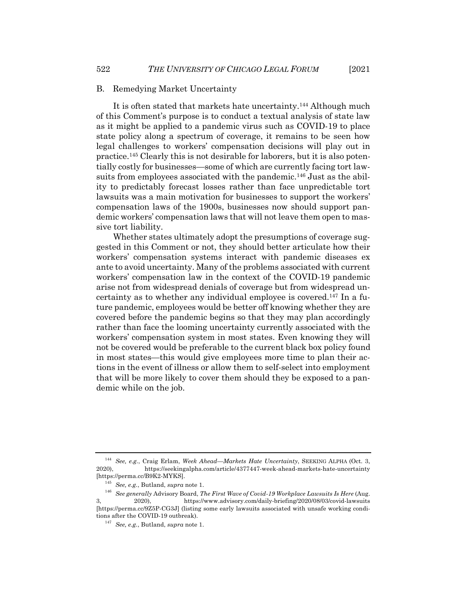#### B. Remedying Market Uncertainty

It is often stated that markets hate uncertainty.<sup>144</sup> Although much of this Comment's purpose is to conduct a textual analysis of state law as it might be applied to a pandemic virus such as COVID-19 to place state policy along a spectrum of coverage, it remains to be seen how legal challenges to workers' compensation decisions will play out in practice.145 Clearly this is not desirable for laborers, but it is also potentially costly for businesses—some of which are currently facing tort lawsuits from employees associated with the pandemic.146 Just as the ability to predictably forecast losses rather than face unpredictable tort lawsuits was a main motivation for businesses to support the workers' compensation laws of the 1900s, businesses now should support pandemic workers' compensation laws that will not leave them open to massive tort liability.

Whether states ultimately adopt the presumptions of coverage suggested in this Comment or not, they should better articulate how their workers' compensation systems interact with pandemic diseases ex ante to avoid uncertainty. Many of the problems associated with current workers' compensation law in the context of the COVID-19 pandemic arise not from widespread denials of coverage but from widespread uncertainty as to whether any individual employee is covered.147 In a future pandemic, employees would be better off knowing whether they are covered before the pandemic begins so that they may plan accordingly rather than face the looming uncertainty currently associated with the workers' compensation system in most states. Even knowing they will not be covered would be preferable to the current black box policy found in most states—this would give employees more time to plan their actions in the event of illness or allow them to self-select into employment that will be more likely to cover them should they be exposed to a pandemic while on the job.

<sup>144</sup> *See, e.g.*, Craig Erlam, *Week Ahead—Markets Hate Uncertainty*, SEEKING ALPHA (Oct. 3, 2020), https://seekingalpha.com/article/4377447-week-ahead-markets-hate-uncertainty [https://perma.cc/B9K2-MYKS].

<sup>145</sup> *See, e.g.*, Butland, *supra* note 1.

<sup>146</sup> *See generally* Advisory Board, *The First Wave of Covid-19 Workplace Lawsuits Is Here* (Aug. 3, 2020), https://www.advisory.com/daily-briefing/2020/08/03/covid-lawsuits [https://perma.cc/9Z5P-CG3J] (listing some early lawsuits associated with unsafe working conditions after the COVID-19 outbreak).

<sup>147</sup> *See, e.g.*, Butland, *supra* note 1.